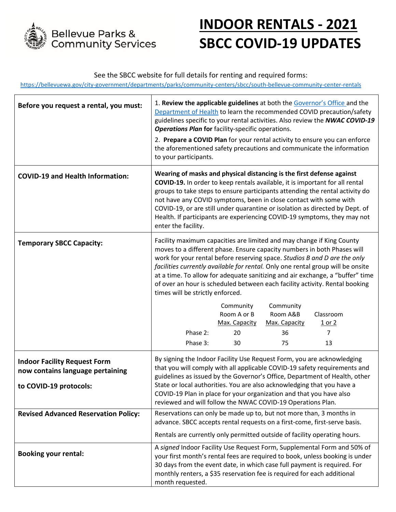

# **INDOOR RENTALS - 2021 SBCC COVID-19 UPDATES**

## See the SBCC website for full details for renting and required forms:

<https://bellevuewa.gov/city-government/departments/parks/community-centers/sbcc/south-bellevue-community-center-rentals>

| Before you request a rental, you must:                                                            | 1. Review the applicable guidelines at both the Governor's Office and the<br><b>Operations Plan for facility-specific operations.</b><br>to your participants.                                                                                                                                                                                                                                                                                                                                                       |                          |                       | Department of Health to learn the recommended COVID precaution/safety<br>guidelines specific to your rental activities. Also review the NWAC COVID-19<br>2. Prepare a COVID Plan for your rental activity to ensure you can enforce<br>the aforementioned safety precautions and communicate the information |
|---------------------------------------------------------------------------------------------------|----------------------------------------------------------------------------------------------------------------------------------------------------------------------------------------------------------------------------------------------------------------------------------------------------------------------------------------------------------------------------------------------------------------------------------------------------------------------------------------------------------------------|--------------------------|-----------------------|--------------------------------------------------------------------------------------------------------------------------------------------------------------------------------------------------------------------------------------------------------------------------------------------------------------|
| <b>COVID-19 and Health Information:</b>                                                           | Wearing of masks and physical distancing is the first defense against<br>COVID-19. In order to keep rentals available, it is important for all rental<br>groups to take steps to ensure participants attending the rental activity do<br>not have any COVID symptoms, been in close contact with some with<br>COVID-19, or are still under quarantine or isolation as directed by Dept. of<br>Health. If participants are experiencing COVID-19 symptoms, they may not<br>enter the facility.                        |                          |                       |                                                                                                                                                                                                                                                                                                              |
| <b>Temporary SBCC Capacity:</b>                                                                   | Facility maximum capacities are limited and may change if King County<br>moves to a different phase. Ensure capacity numbers in both Phases will<br>work for your rental before reserving space. Studios B and D are the only<br>facilities currently available for rental. Only one rental group will be onsite<br>at a time. To allow for adequate sanitizing and air exchange, a "buffer" time<br>of over an hour is scheduled between each facility activity. Rental booking<br>times will be strictly enforced. |                          |                       |                                                                                                                                                                                                                                                                                                              |
|                                                                                                   |                                                                                                                                                                                                                                                                                                                                                                                                                                                                                                                      | Community<br>Room A or B | Community<br>Room A&B | Classroom                                                                                                                                                                                                                                                                                                    |
|                                                                                                   | Phase 2:                                                                                                                                                                                                                                                                                                                                                                                                                                                                                                             | Max. Capacity<br>20      | Max. Capacity<br>36   | <u>1 or 2</u><br>7                                                                                                                                                                                                                                                                                           |
|                                                                                                   | Phase 3:                                                                                                                                                                                                                                                                                                                                                                                                                                                                                                             | 30                       | 75                    | 13                                                                                                                                                                                                                                                                                                           |
| <b>Indoor Facility Request Form</b><br>now contains language pertaining<br>to COVID-19 protocols: | By signing the Indoor Facility Use Request Form, you are acknowledging<br>that you will comply with all applicable COVID-19 safety requirements and<br>guidelines as issued by the Governor's Office, Department of Health, other<br>State or local authorities. You are also acknowledging that you have a<br>COVID-19 Plan in place for your organization and that you have also<br>reviewed and will follow the NWAC COVID-19 Operations Plan.                                                                    |                          |                       |                                                                                                                                                                                                                                                                                                              |
| <b>Revised Advanced Reservation Policy:</b>                                                       | Reservations can only be made up to, but not more than, 3 months in<br>advance. SBCC accepts rental requests on a first-come, first-serve basis.                                                                                                                                                                                                                                                                                                                                                                     |                          |                       |                                                                                                                                                                                                                                                                                                              |
|                                                                                                   | Rentals are currently only permitted outside of facility operating hours.                                                                                                                                                                                                                                                                                                                                                                                                                                            |                          |                       |                                                                                                                                                                                                                                                                                                              |
| <b>Booking your rental:</b>                                                                       | A signed Indoor Facility Use Request Form, Supplemental Form and 50% of<br>your first month's rental fees are required to book, unless booking is under<br>30 days from the event date, in which case full payment is required. For<br>monthly renters, a \$35 reservation fee is required for each additional<br>month requested.                                                                                                                                                                                   |                          |                       |                                                                                                                                                                                                                                                                                                              |